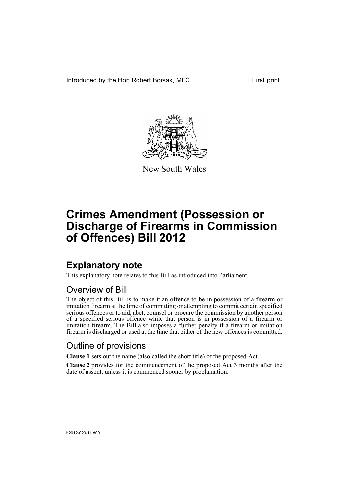Introduced by the Hon Robert Borsak, MLC First print



New South Wales

# **Crimes Amendment (Possession or Discharge of Firearms in Commission of Offences) Bill 2012**

## **Explanatory note**

This explanatory note relates to this Bill as introduced into Parliament.

## Overview of Bill

The object of this Bill is to make it an offence to be in possession of a firearm or imitation firearm at the time of committing or attempting to commit certain specified serious offences or to aid, abet, counsel or procure the commission by another person of a specified serious offence while that person is in possession of a firearm or imitation firearm. The Bill also imposes a further penalty if a firearm or imitation firearm is discharged or used at the time that either of the new offences is committed.

## Outline of provisions

**Clause 1** sets out the name (also called the short title) of the proposed Act.

**Clause 2** provides for the commencement of the proposed Act 3 months after the date of assent, unless it is commenced sooner by proclamation.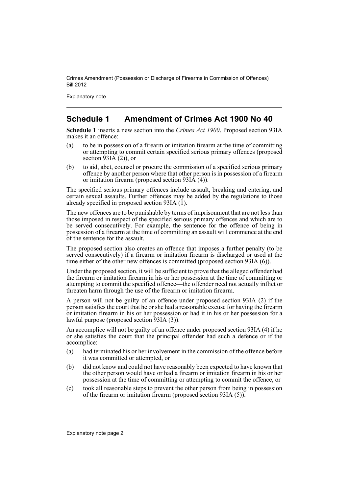Explanatory note

## **Schedule 1 Amendment of Crimes Act 1900 No 40**

**Schedule 1** inserts a new section into the *Crimes Act 1900*. Proposed section 93IA makes it an offence:

- (a) to be in possession of a firearm or imitation firearm at the time of committing or attempting to commit certain specified serious primary offences (proposed section  $\hat{9}$ 3IA (2)), or
- (b) to aid, abet, counsel or procure the commission of a specified serious primary offence by another person where that other person is in possession of a firearm or imitation firearm (proposed section 93IA (4)).

The specified serious primary offences include assault, breaking and entering, and certain sexual assaults. Further offences may be added by the regulations to those already specified in proposed section 93IA  $(1)$ .

The new offences are to be punishable by terms of imprisonment that are not less than those imposed in respect of the specified serious primary offences and which are to be served consecutively. For example, the sentence for the offence of being in possession of a firearm at the time of committing an assault will commence at the end of the sentence for the assault.

The proposed section also creates an offence that imposes a further penalty (to be served consecutively) if a firearm or imitation firearm is discharged or used at the time either of the other new offences is committed (proposed section 93IA (6)).

Under the proposed section, it will be sufficient to prove that the alleged offender had the firearm or imitation firearm in his or her possession at the time of committing or attempting to commit the specified offence—the offender need not actually inflict or threaten harm through the use of the firearm or imitation firearm.

A person will not be guilty of an offence under proposed section 93IA (2) if the person satisfies the court that he or she had a reasonable excuse for having the firearm or imitation firearm in his or her possession or had it in his or her possession for a lawful purpose (proposed section 93IA (3)).

An accomplice will not be guilty of an offence under proposed section 93IA (4) if he or she satisfies the court that the principal offender had such a defence or if the accomplice:

- (a) had terminated his or her involvement in the commission of the offence before it was committed or attempted, or
- (b) did not know and could not have reasonably been expected to have known that the other person would have or had a firearm or imitation firearm in his or her possession at the time of committing or attempting to commit the offence, or
- (c) took all reasonable steps to prevent the other person from being in possession of the firearm or imitation firearm (proposed section 93IA (5)).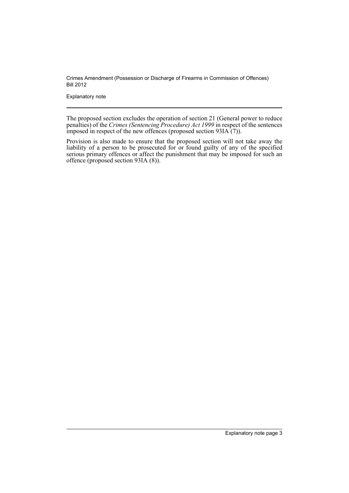Explanatory note

The proposed section excludes the operation of section 21 (General power to reduce penalties) of the *Crimes (Sentencing Procedure) Act 1999* in respect of the sentences imposed in respect of the new offences (proposed section 93IA (7)).

Provision is also made to ensure that the proposed section will not take away the liability of a person to be prosecuted for or found guilty of any of the specified serious primary offences or affect the punishment that may be imposed for such an offence (proposed section 93IA (8)).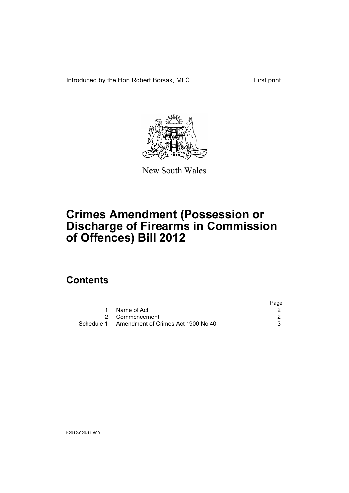Introduced by the Hon Robert Borsak, MLC First print



New South Wales

# **Crimes Amendment (Possession or Discharge of Firearms in Commission of Offences) Bill 2012**

## **Contents**

|                                               | Page |
|-----------------------------------------------|------|
| Name of Act                                   |      |
| 2 Commencement                                |      |
| Schedule 1 Amendment of Crimes Act 1900 No 40 |      |
|                                               |      |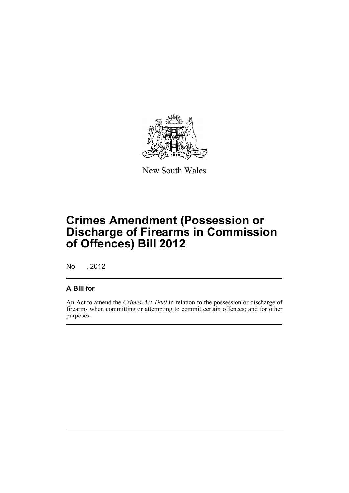

New South Wales

# **Crimes Amendment (Possession or Discharge of Firearms in Commission of Offences) Bill 2012**

No , 2012

## **A Bill for**

An Act to amend the *Crimes Act 1900* in relation to the possession or discharge of firearms when committing or attempting to commit certain offences; and for other purposes.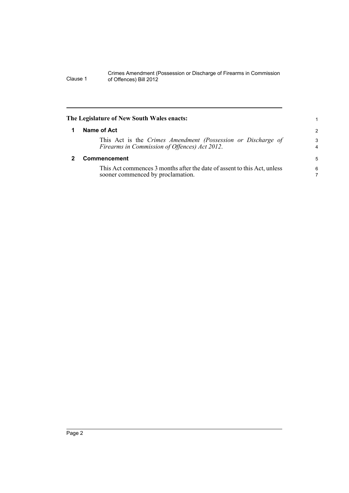<span id="page-7-1"></span><span id="page-7-0"></span>

| The Legislature of New South Wales enacts:                                                                    |               |
|---------------------------------------------------------------------------------------------------------------|---------------|
| Name of Act                                                                                                   | $\mathcal{P}$ |
| This Act is the Crimes Amendment (Possession or Discharge of<br>Firearms in Commission of Offences) Act 2012. | 3<br>4        |
| Commencement                                                                                                  | 5             |
| This Act commences 3 months after the date of assent to this Act, unless<br>sooner commenced by proclamation. | 6<br>7        |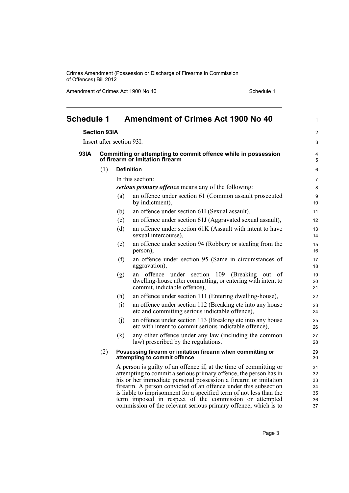Amendment of Crimes Act 1900 No 40 Schedule 1

<span id="page-8-0"></span>

| <b>Schedule 1</b> |                                                     | <b>Amendment of Crimes Act 1900 No 40</b>                                                         |                                                                                                                                                                                                                                                                                                                                                                                                                                                                                  | 1                                      |
|-------------------|-----------------------------------------------------|---------------------------------------------------------------------------------------------------|----------------------------------------------------------------------------------------------------------------------------------------------------------------------------------------------------------------------------------------------------------------------------------------------------------------------------------------------------------------------------------------------------------------------------------------------------------------------------------|----------------------------------------|
|                   | <b>Section 93IA</b>                                 |                                                                                                   |                                                                                                                                                                                                                                                                                                                                                                                                                                                                                  | $\mathbf{2}$                           |
|                   |                                                     | Insert after section 93I:                                                                         |                                                                                                                                                                                                                                                                                                                                                                                                                                                                                  | 3                                      |
| 93IA              |                                                     | Committing or attempting to commit offence while in possession<br>of firearm or imitation firearm |                                                                                                                                                                                                                                                                                                                                                                                                                                                                                  |                                        |
|                   | (1)                                                 |                                                                                                   | <b>Definition</b>                                                                                                                                                                                                                                                                                                                                                                                                                                                                | 6                                      |
|                   | In this section:                                    |                                                                                                   |                                                                                                                                                                                                                                                                                                                                                                                                                                                                                  |                                        |
|                   | serious primary offence means any of the following: |                                                                                                   |                                                                                                                                                                                                                                                                                                                                                                                                                                                                                  |                                        |
|                   |                                                     | (a)                                                                                               | an offence under section 61 (Common assault prosecuted<br>by indictment),                                                                                                                                                                                                                                                                                                                                                                                                        | 9<br>10 <sup>1</sup>                   |
|                   |                                                     | (b)                                                                                               | an offence under section 61I (Sexual assault),                                                                                                                                                                                                                                                                                                                                                                                                                                   | 11                                     |
|                   |                                                     | (c)                                                                                               | an offence under section 61J (Aggravated sexual assault),                                                                                                                                                                                                                                                                                                                                                                                                                        | 12 <sup>2</sup>                        |
|                   |                                                     | (d)                                                                                               | an offence under section 61K (Assault with intent to have<br>sexual intercourse),                                                                                                                                                                                                                                                                                                                                                                                                | 13<br>14                               |
|                   |                                                     | (e)                                                                                               | an offence under section 94 (Robbery or stealing from the<br>person),                                                                                                                                                                                                                                                                                                                                                                                                            | 15<br>16                               |
|                   |                                                     | (f)                                                                                               | an offence under section 95 (Same in circumstances of<br>aggravation),                                                                                                                                                                                                                                                                                                                                                                                                           | 17<br>18                               |
|                   |                                                     | (g)                                                                                               | an offence under section 109 (Breaking out<br><sub>of</sub><br>dwelling-house after committing, or entering with intent to<br>commit, indictable offence),                                                                                                                                                                                                                                                                                                                       | 19<br>20<br>21                         |
|                   |                                                     | (h)                                                                                               | an offence under section 111 (Entering dwelling-house),                                                                                                                                                                                                                                                                                                                                                                                                                          | 22                                     |
|                   |                                                     | (i)                                                                                               | an offence under section 112 (Breaking etc into any house<br>etc and committing serious indictable offence),                                                                                                                                                                                                                                                                                                                                                                     | 23<br>24                               |
|                   |                                                     | (i)                                                                                               | an offence under section 113 (Breaking etc into any house<br>etc with intent to commit serious indictable offence),                                                                                                                                                                                                                                                                                                                                                              | 25<br>26                               |
|                   |                                                     | (k)                                                                                               | any other offence under any law (including the common<br>law) prescribed by the regulations.                                                                                                                                                                                                                                                                                                                                                                                     | 27<br>28                               |
|                   | (2)                                                 |                                                                                                   | Possessing firearm or imitation firearm when committing or<br>attempting to commit offence                                                                                                                                                                                                                                                                                                                                                                                       | 29<br>30                               |
|                   |                                                     |                                                                                                   | A person is guilty of an offence if, at the time of committing or<br>attempting to commit a serious primary offence, the person has in<br>his or her immediate personal possession a firearm or imitation<br>firearm. A person convicted of an offence under this subsection<br>is liable to imprisonment for a specified term of not less than the<br>term imposed in respect of the commission or attempted<br>commission of the relevant serious primary offence, which is to | 31<br>32<br>33<br>34<br>35<br>36<br>37 |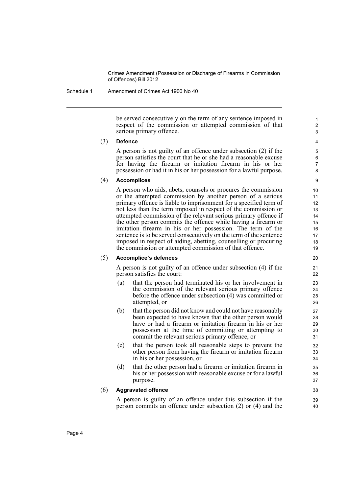Schedule 1 Amendment of Crimes Act 1900 No 40

be served consecutively on the term of any sentence imposed in respect of the commission or attempted commission of that serious primary offence.

#### (3) **Defence**

A person is not guilty of an offence under subsection (2) if the person satisfies the court that he or she had a reasonable excuse for having the firearm or imitation firearm in his or her possession or had it in his or her possession for a lawful purpose.

### (4) **Accomplices**

A person who aids, abets, counsels or procures the commission or the attempted commission by another person of a serious primary offence is liable to imprisonment for a specified term of not less than the term imposed in respect of the commission or attempted commission of the relevant serious primary offence if the other person commits the offence while having a firearm or imitation firearm in his or her possession. The term of the sentence is to be served consecutively on the term of the sentence imposed in respect of aiding, abetting, counselling or procuring the commission or attempted commission of that offence.

### (5) **Accomplice's defences**

A person is not guilty of an offence under subsection (4) if the person satisfies the court:

- (a) that the person had terminated his or her involvement in the commission of the relevant serious primary offence before the offence under subsection (4) was committed or attempted, or
- (b) that the person did not know and could not have reasonably been expected to have known that the other person would have or had a firearm or imitation firearm in his or her possession at the time of committing or attempting to commit the relevant serious primary offence, or
- (c) that the person took all reasonable steps to prevent the other person from having the firearm or imitation firearm in his or her possession, or
- (d) that the other person had a firearm or imitation firearm in his or her possession with reasonable excuse or for a lawful purpose.

### (6) **Aggravated offence**

A person is guilty of an offence under this subsection if the person commits an offence under subsection (2) or (4) and the 39 40